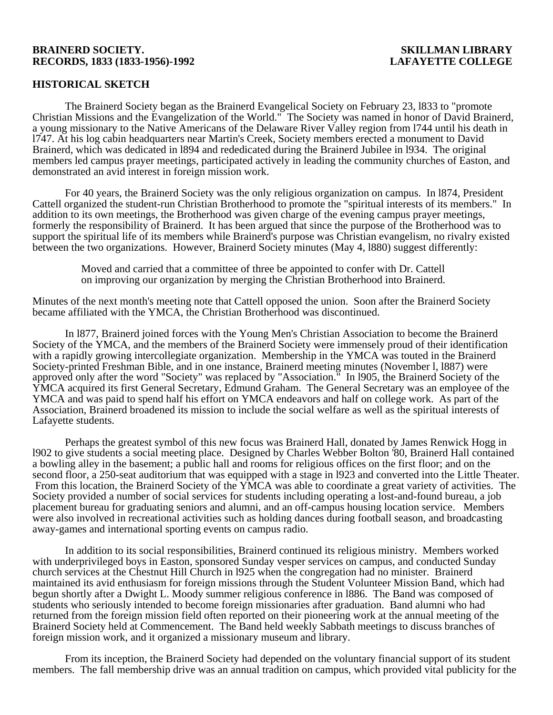### **BRAINERD SOCIETY. SKILLMAN LIBRARY RECORDS, 1833 (1833-1956)-1992 LAFAYETTE COLLEGE**

# **HISTORICAL SKETCH**

 The Brainerd Society began as the Brainerd Evangelical Society on February 23, l833 to "promote Christian Missions and the Evangelization of the World." The Society was named in honor of David Brainerd, a young missionary to the Native Americans of the Delaware River Valley region from l744 until his death in l747. At his log cabin headquarters near Martin's Creek, Society members erected a monument to David Brainerd, which was dedicated in l894 and rededicated during the Brainerd Jubilee in l934. The original members led campus prayer meetings, participated actively in leading the community churches of Easton, and demonstrated an avid interest in foreign mission work.

 For 40 years, the Brainerd Society was the only religious organization on campus. In l874, President Cattell organized the student-run Christian Brotherhood to promote the "spiritual interests of its members." In addition to its own meetings, the Brotherhood was given charge of the evening campus prayer meetings, formerly the responsibility of Brainerd. It has been argued that since the purpose of the Brotherhood was to support the spiritual life of its members while Brainerd's purpose was Christian evangelism, no rivalry existed between the two organizations. However, Brainerd Society minutes (May 4, l880) suggest differently:

> Moved and carried that a committee of three be appointed to confer with Dr. Cattell on improving our organization by merging the Christian Brotherhood into Brainerd.

Minutes of the next month's meeting note that Cattell opposed the union. Soon after the Brainerd Society became affiliated with the YMCA, the Christian Brotherhood was discontinued.

 In l877, Brainerd joined forces with the Young Men's Christian Association to become the Brainerd Society of the YMCA, and the members of the Brainerd Society were immensely proud of their identification with a rapidly growing intercollegiate organization. Membership in the YMCA was touted in the Brainerd Society-printed Freshman Bible, and in one instance, Brainerd meeting minutes (November l, l887) were approved only after the word "Society" was replaced by "Association." In l905, the Brainerd Society of the YMCA acquired its first General Secretary, Edmund Graham. The General Secretary was an employee of the YMCA and was paid to spend half his effort on YMCA endeavors and half on college work. As part of the Association, Brainerd broadened its mission to include the social welfare as well as the spiritual interests of Lafayette students.

 Perhaps the greatest symbol of this new focus was Brainerd Hall, donated by James Renwick Hogg in l902 to give students a social meeting place. Designed by Charles Webber Bolton '80, Brainerd Hall contained a bowling alley in the basement; a public hall and rooms for religious offices on the first floor; and on the second floor, a 250-seat auditorium that was equipped with a stage in l923 and converted into the Little Theater. From this location, the Brainerd Society of the YMCA was able to coordinate a great variety of activities. The Society provided a number of social services for students including operating a lost-and-found bureau, a job placement bureau for graduating seniors and alumni, and an off-campus housing location service. Members were also involved in recreational activities such as holding dances during football season, and broadcasting away-games and international sporting events on campus radio.

 In addition to its social responsibilities, Brainerd continued its religious ministry. Members worked with underprivileged boys in Easton, sponsored Sunday vesper services on campus, and conducted Sunday church services at the Chestnut Hill Church in l925 when the congregation had no minister. Brainerd maintained its avid enthusiasm for foreign missions through the Student Volunteer Mission Band, which had begun shortly after a Dwight L. Moody summer religious conference in l886. The Band was composed of students who seriously intended to become foreign missionaries after graduation. Band alumni who had returned from the foreign mission field often reported on their pioneering work at the annual meeting of the Brainerd Society held at Commencement. The Band held weekly Sabbath meetings to discuss branches of foreign mission work, and it organized a missionary museum and library.

 From its inception, the Brainerd Society had depended on the voluntary financial support of its student members. The fall membership drive was an annual tradition on campus, which provided vital publicity for the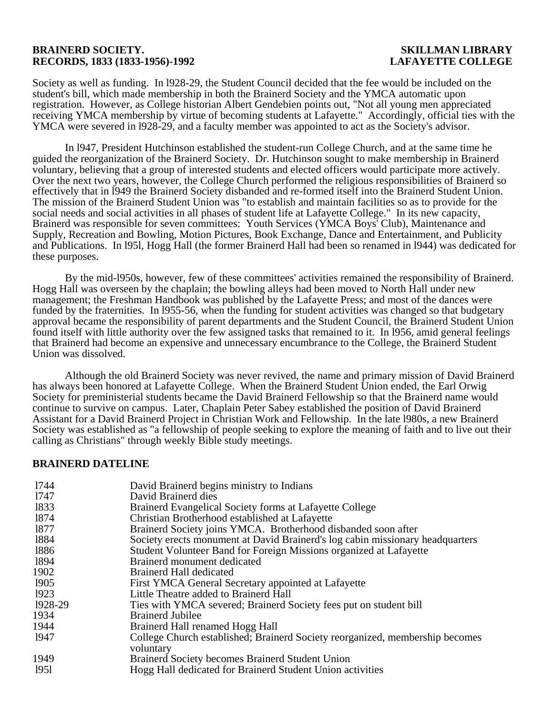## **BRAINERD SOCIETY. SKILLMAN LIBRARY RECORDS, 1833 (1833-1956)-1992 LAFAYETTE COLLEGE**

Society as well as funding. In l928-29, the Student Council decided that the fee would be included on the student's bill, which made membership in both the Brainerd Society and the YMCA automatic upon registration. However, as College historian Albert Gendebien points out, "Not all young men appreciated receiving YMCA membership by virtue of becoming students at Lafayette." Accordingly, official ties with the YMCA were severed in l928-29, and a faculty member was appointed to act as the Society's advisor.

 In l947, President Hutchinson established the student-run College Church, and at the same time he guided the reorganization of the Brainerd Society. Dr. Hutchinson sought to make membership in Brainerd voluntary, believing that a group of interested students and elected officers would participate more actively. Over the next two years, however, the College Church performed the religious responsibilities of Brainerd so effectively that in l949 the Brainerd Society disbanded and re-formed itself into the Brainerd Student Union. The mission of the Brainerd Student Union was "to establish and maintain facilities so as to provide for the social needs and social activities in all phases of student life at Lafayette College." In its new capacity, Brainerd was responsible for seven committees: Youth Services (YMCA Boys' Club), Maintenance and Supply, Recreation and Bowling, Motion Pictures, Book Exchange, Dance and Entertainment, and Publicity and Publications. In l95l, Hogg Hall (the former Brainerd Hall had been so renamed in l944) was dedicated for these purposes.

 By the mid-l950s, however, few of these committees' activities remained the responsibility of Brainerd. Hogg Hall was overseen by the chaplain; the bowling alleys had been moved to North Hall under new management; the Freshman Handbook was published by the Lafayette Press; and most of the dances were funded by the fraternities. In l955-56, when the funding for student activities was changed so that budgetary approval became the responsibility of parent departments and the Student Council, the Brainerd Student Union found itself with little authority over the few assigned tasks that remained to it. In l956, amid general feelings that Brainerd had become an expensive and unnecessary encumbrance to the College, the Brainerd Student Union was dissolved.

 Although the old Brainerd Society was never revived, the name and primary mission of David Brainerd has always been honored at Lafayette College. When the Brainerd Student Union ended, the Earl Orwig Society for preministerial students became the David Brainerd Fellowship so that the Brainerd name would continue to survive on campus. Later, Chaplain Peter Sabey established the position of David Brainerd Assistant for a David Brainerd Project in Christian Work and Fellowship. In the late l980s, a new Brainerd Society was established as "a fellowship of people seeking to explore the meaning of faith and to live out their calling as Christians" through weekly Bible study meetings.

## **BRAINERD DATELINE**

| 1744    | David Brainerd begins ministry to Indians                                     |
|---------|-------------------------------------------------------------------------------|
| 1747    | David Brainerd dies                                                           |
| 1833    | Brainerd Evangelical Society forms at Lafayette College                       |
| 1874    | Christian Brotherhood established at Lafayette                                |
| 1877    | Brainerd Society joins YMCA. Brotherhood disbanded soon after                 |
| 1884    | Society erects monument at David Brainerd's log cabin missionary headquarters |
| 1886    | Student Volunteer Band for Foreign Missions organized at Lafayette            |
| 1894    | Brainerd monument dedicated                                                   |
| 1902    | <b>Brainerd Hall dedicated</b>                                                |
| 1905    | First YMCA General Secretary appointed at Lafayette                           |
| 1923    | Little Theatre added to Brainerd Hall                                         |
| 1928-29 | Ties with YMCA severed; Brainerd Society fees put on student bill             |
| 1934    | <b>Brainerd Jubilee</b>                                                       |
| 1944    | Brainerd Hall renamed Hogg Hall                                               |
| 1947    | College Church established; Brainerd Society reorganized, membership becomes  |
|         | voluntary                                                                     |
| 1949    | <b>Brainerd Society becomes Brainerd Student Union</b>                        |
| 1951    | Hogg Hall dedicated for Brainerd Student Union activities                     |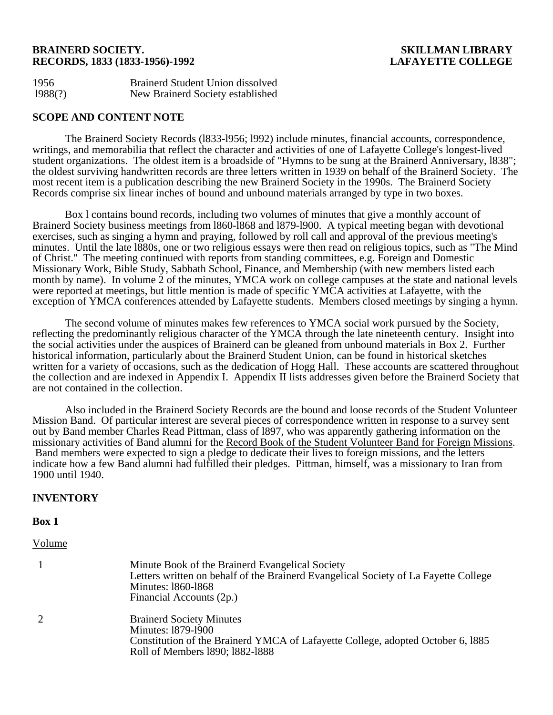## **BRAINERD SOCIETY. SKILLMAN LIBRARY RECORDS, 1833 (1833-1956)-1992 LAFAYETTE COLLEGE**

| 1956    | <b>Brainerd Student Union dissolved</b> |
|---------|-----------------------------------------|
| 1988(?) | New Brainerd Society established        |

# **SCOPE AND CONTENT NOTE**

 The Brainerd Society Records (l833-l956; l992) include minutes, financial accounts, correspondence, writings, and memorabilia that reflect the character and activities of one of Lafayette College's longest-lived student organizations. The oldest item is a broadside of "Hymns to be sung at the Brainerd Anniversary, l838"; the oldest surviving handwritten records are three letters written in 1939 on behalf of the Brainerd Society. The most recent item is a publication describing the new Brainerd Society in the 1990s. The Brainerd Society Records comprise six linear inches of bound and unbound materials arranged by type in two boxes.

 Box l contains bound records, including two volumes of minutes that give a monthly account of Brainerd Society business meetings from l860-l868 and l879-l900. A typical meeting began with devotional exercises, such as singing a hymn and praying, followed by roll call and approval of the previous meeting's minutes. Until the late l880s, one or two religious essays were then read on religious topics, such as "The Mind of Christ." The meeting continued with reports from standing committees, e.g. Foreign and Domestic Missionary Work, Bible Study, Sabbath School, Finance, and Membership (with new members listed each month by name). In volume  $\tilde{2}$  of the minutes, YMCA work on college campuses at the state and national levels were reported at meetings, but little mention is made of specific YMCA activities at Lafayette, with the exception of YMCA conferences attended by Lafayette students. Members closed meetings by singing a hymn.

 The second volume of minutes makes few references to YMCA social work pursued by the Society, reflecting the predominantly religious character of the YMCA through the late nineteenth century. Insight into the social activities under the auspices of Brainerd can be gleaned from unbound materials in Box 2. Further historical information, particularly about the Brainerd Student Union, can be found in historical sketches written for a variety of occasions, such as the dedication of Hogg Hall. These accounts are scattered throughout the collection and are indexed in Appendix I. Appendix II lists addresses given before the Brainerd Society that are not contained in the collection.

 Also included in the Brainerd Society Records are the bound and loose records of the Student Volunteer Mission Band. Of particular interest are several pieces of correspondence written in response to a survey sent out by Band member Charles Read Pittman, class of l897, who was apparently gathering information on the missionary activities of Band alumni for the Record Book of the Student Volunteer Band for Foreign Missions. Band members were expected to sign a pledge to dedicate their lives to foreign missions, and the letters indicate how a few Band alumni had fulfilled their pledges. Pittman, himself, was a missionary to Iran from 1900 until 1940.

# **INVENTORY**

### **Box 1**

### Volume

| Minute Book of the Brainerd Evangelical Society<br>Letters written on behalf of the Brainerd Evangelical Society of La Fayette College<br>Minutes: 1860-1868<br>Financial Accounts (2p.) |
|------------------------------------------------------------------------------------------------------------------------------------------------------------------------------------------|
| <b>Brainerd Society Minutes</b><br>Minutes: 1879-1900<br>Constitution of the Brainerd YMCA of Lafayette College, adopted October 6, 1885<br>Roll of Members 1890; 1882-1888              |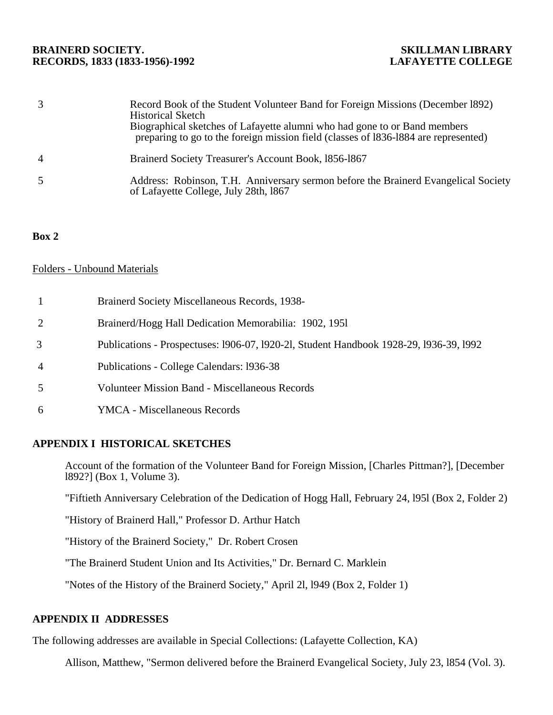# **BRAINERD SOCIETY. SKILLMAN LIBRARY**  RECORDS, 1833 (1833-1956)-1992

|                | Record Book of the Student Volunteer Band for Foreign Missions (December 1892)<br>Historical Sketch<br>Biographical sketches of Lafayette alumni who had gone to or Band members<br>preparing to go to the foreign mission field (classes of 1836-1884 are represented) |
|----------------|-------------------------------------------------------------------------------------------------------------------------------------------------------------------------------------------------------------------------------------------------------------------------|
| $\overline{A}$ | Brainerd Society Treasurer's Account Book, 1856-1867                                                                                                                                                                                                                    |
|                | Address: Robinson, T.H. Anniversary sermon before the Brainerd Evangelical Society<br>of Lafayette College, July 28th, 1867                                                                                                                                             |

# **Box 2**

# Folders - Unbound Materials

- 1 Brainerd Society Miscellaneous Records, 1938-
- 2 Brainerd/Hogg Hall Dedication Memorabilia: 1902, 195l
- 3 Publications Prospectuses: l906-07, l920-2l, Student Handbook 1928-29, l936-39, l992
- 4 Publications College Calendars: l936-38
- 5 Volunteer Mission Band Miscellaneous Records
- 6 YMCA Miscellaneous Records

# **APPENDIX I HISTORICAL SKETCHES**

Account of the formation of the Volunteer Band for Foreign Mission, [Charles Pittman?], [December l892?] (Box 1, Volume 3).

"Fiftieth Anniversary Celebration of the Dedication of Hogg Hall, February 24, l95l (Box 2, Folder 2)

"History of Brainerd Hall," Professor D. Arthur Hatch

"History of the Brainerd Society," Dr. Robert Crosen

"The Brainerd Student Union and Its Activities," Dr. Bernard C. Marklein

"Notes of the History of the Brainerd Society," April 2l, l949 (Box 2, Folder 1)

# **APPENDIX II ADDRESSES**

The following addresses are available in Special Collections: (Lafayette Collection, KA)

Allison, Matthew, "Sermon delivered before the Brainerd Evangelical Society, July 23, l854 (Vol. 3).